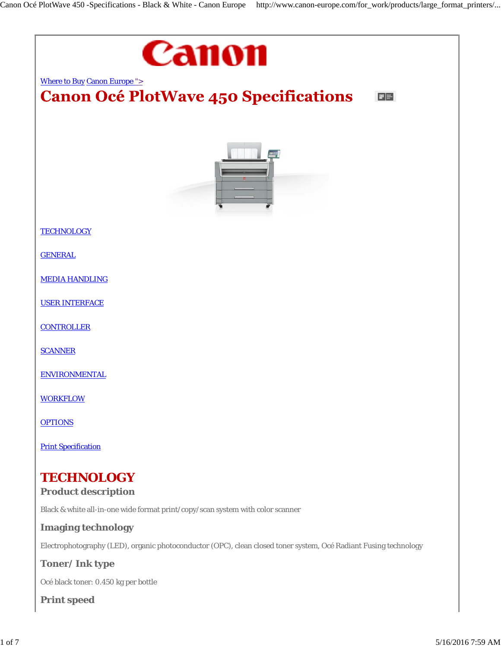

**Print speed**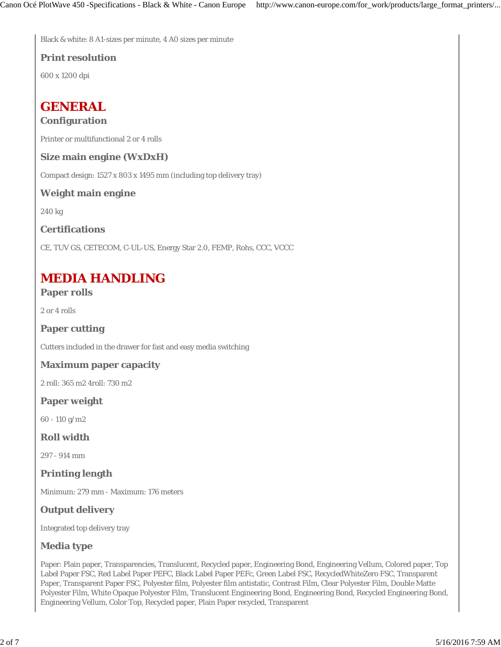Black & white: 8 A1-sizes per minute, 4 A0 sizes per minute

#### **Print resolution**

600 x 1200 dpi

## **GENERAL**

### **Configuration**

Printer or multifunctional 2 or 4 rolls

#### **Size main engine (WxDxH)**

Compact design: 1527 x 803 x 1495 mm (including top delivery tray)

#### **Weight main engine**

240 kg

### **Certifications**

CE, TUV GS, CETECOM, C-UL-US, Energy Star 2.0, FEMP, Rohs, CCC, VCCC

# **MEDIA HANDLING**

### **Paper rolls**

2 or 4 rolls

### **Paper cutting**

Cutters included in the drawer for fast and easy media switching

#### **Maximum paper capacity**

2 roll: 365 m2 4roll: 730 m2

### **Paper weight**

60 - 110 g/m2

#### **Roll width**

297 - 914 mm

**Printing length**

Minimum: 279 mm - Maximum: 176 meters

### **Output delivery**

Integrated top delivery tray

### **Media type**

Paper: Plain paper, Transparencies, Translucent, Recycled paper, Engineering Bond, Engineering Vellum, Colored paper, Top Label Paper FSC, Red Label Paper PEFC, Black Label Paper PEFc, Green Label FSC, RecycledWhiteZero FSC, Transparent Paper, Transparent Paper FSC, Polyester film, Polyester film antistatic, Contrast Film, Clear Polyester Film, Double Matte Polyester Film, White Opaque Polyester Film, Translucent Engineering Bond, Engineering Bond, Recycled Engineering Bond, Engineering Vellum, Color Top, Recycled paper, Plain Paper recycled, Transparent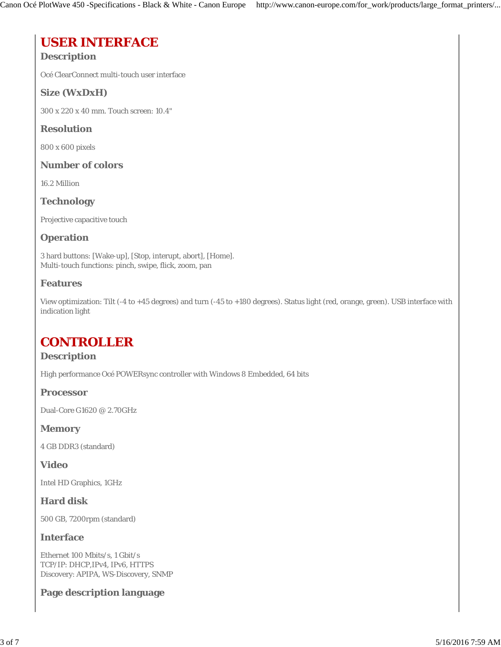# **USER INTERFACE**

## **Description**

Océ ClearConnect multi-touch user interface

## **Size (WxDxH)**

300 x 220 x 40 mm. Touch screen: 10.4"

### **Resolution**

800 x 600 pixels

### **Number of colors**

16.2 Million

### **Technology**

Projective capacitive touch

### **Operation**

3 hard buttons: [Wake-up], [Stop, interupt, abort], [Home]. Multi-touch functions: pinch, swipe, flick, zoom, pan

### **Features**

View optimization: Tilt (-4 to +45 degrees) and turn (-45 to +180 degrees). Status light (red, orange, green). USB interface with indication light

## **CONTROLLER**

### **Description**

High performance Océ POWERsync controller with Windows 8 Embedded, 64 bits

**Processor**

Dual-Core G1620 @ 2.70GHz

#### **Memory**

4 GB DDR3 (standard)

### **Video**

Intel HD Graphics, 1GHz

### **Hard disk**

500 GB, 7200rpm (standard)

#### **Interface**

Ethernet 100 Mbits/s, 1 Gbit/s TCP/IP: DHCP,IPv4, IPv6, HTTPS Discovery: APIPA, WS-Discovery, SNMP

### **Page description language**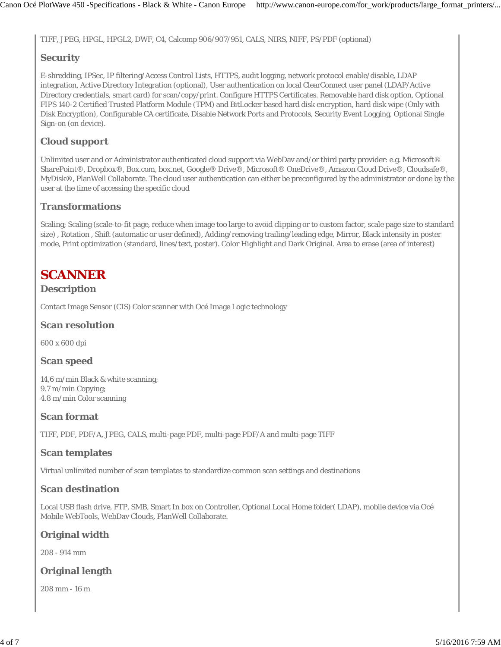TIFF, JPEG, HPGL, HPGL2, DWF, C4, Calcomp 906/907/951, CALS, NIRS, NIFF, PS/PDF (optional)

## **Security**

E-shredding, IPSec, IP filtering/Access Control Lists, HTTPS, audit logging, network protocol enable/disable, LDAP integration, Active Directory Integration (optional), User authentication on local ClearConnect user panel (LDAP/Active Directory credentials, smart card) for scan/copy/print. Configure HTTPS Certificates. Removable hard disk option, Optional FIPS 140-2 Certified Trusted Platform Module (TPM) and BitLocker based hard disk encryption, hard disk wipe (Only with Disk Encryption), Configurable CA certificate, Disable Network Ports and Protocols, Security Event Logging, Optional Single Sign-on (on device).

## **Cloud support**

Unlimited user and or Administrator authenticated cloud support via WebDav and/or third party provider: e.g. Microsoft® SharePoint®, Dropbox®, Box.com, box.net, Google® Drive®, Microsoft® OneDrive®, Amazon Cloud Drive®, Cloudsafe®, MyDisk®, PlanWell Collaborate. The cloud user authentication can either be preconfigured by the administrator or done by the user at the time of accessing the specific cloud

## **Transformations**

Scaling; Scaling (scale-to-fit page, reduce when image too large to avoid clipping or to custom factor, scale page size to standard size) , Rotation , Shift (automatic or user defined), Adding/removing trailing/leading edge, Mirror, Black intensity in poster mode, Print optimization (standard, lines/text, poster). Color Highlight and Dark Original. Area to erase (area of interest)

# **SCANNER**

## **Description**

Contact Image Sensor (CIS) Color scanner with Océ Image Logic technology

### **Scan resolution**

600 x 600 dpi

## **Scan speed**

14,6 m/min Black & white scanning; 9.7 m/min Copying; 4.8 m/min Color scanning

## **Scan format**

TIFF, PDF, PDF/A, JPEG, CALS, multi-page PDF, multi-page PDF/A and multi-page TIFF

## **Scan templates**

Virtual unlimited number of scan templates to standardize common scan settings and destinations

## **Scan destination**

Local USB flash drive, FTP, SMB, Smart In box on Controller, Optional Local Home folder( LDAP), mobile device via Océ Mobile WebTools, WebDav Clouds, PlanWell Collaborate.

## **Original width**

208 - 914 mm

## **Original length**

208 mm - 16 m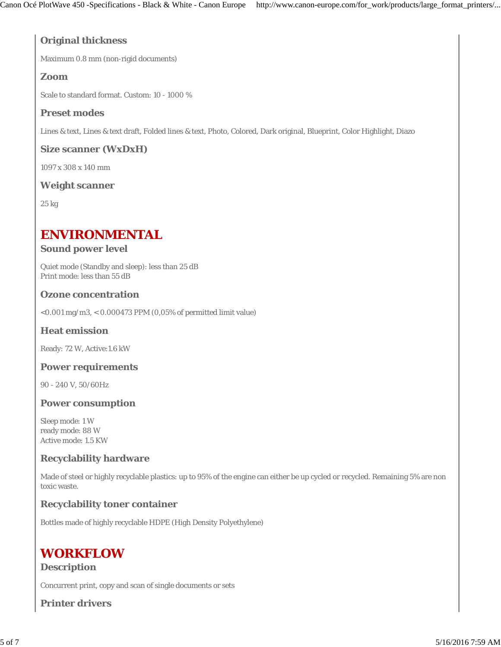## **Original thickness**

Maximum 0.8 mm (non-rigid documents)

## **Zoom**

Scale to standard format. Custom: 10 - 1000 %

## **Preset modes**

Lines & text, Lines & text draft, Folded lines & text, Photo, Colored, Dark original, Blueprint, Color Highlight, Diazo

## **Size scanner (WxDxH)**

1097 x 308 x 140 mm

## **Weight scanner**

25 kg

# **ENVIRONMENTAL**

## **Sound power level**

Quiet mode (Standby and sleep): less than 25 dB Print mode: less than 55 dB

## **Ozone concentration**

<0.001 mg/m3, < 0.000473 PPM (0,05% of permitted limit value)

## **Heat emission**

Ready: 72 W, Active:1.6 kW

## **Power requirements**

90 - 240 V, 50/60Hz

### **Power consumption**

Sleep mode: 1 W ready mode: 88 W Active mode: 1.5 KW

## **Recyclability hardware**

Made of steel or highly recyclable plastics: up to 95% of the engine can either be up cycled or recycled. Remaining 5% are non toxic waste.

## **Recyclability toner container**

Bottles made of highly recyclable HDPE (High Density Polyethylene)

# **WORKFLOW**

### **Description**

Concurrent print, copy and scan of single documents or sets

**Printer drivers**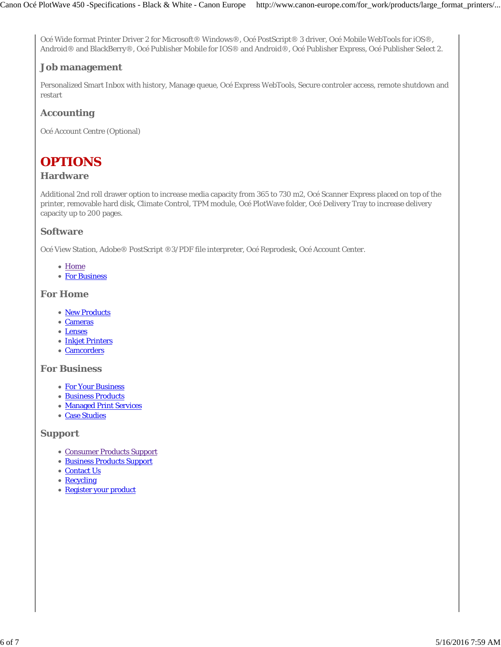Océ Wide format Printer Driver 2 for Microsoft® Windows®, Océ PostScript® 3 driver, Océ Mobile WebTools for iOS®, Android® and BlackBerry®, Océ Publisher Mobile for IOS® and Android®, Océ Publisher Express, Océ Publisher Select 2.

## **Job management**

Personalized Smart Inbox with history, Manage queue, Océ Express WebTools, Secure controler access, remote shutdown and restart

## **Accounting**

Océ Account Centre (Optional)

# **OPTIONS**

## **Hardware**

Additional 2nd roll drawer option to increase media capacity from 365 to 730 m2, Océ Scanner Express placed on top of the printer, removable hard disk, Climate Control, TPM module, Océ PlotWave folder, Océ Delivery Tray to increase delivery capacity up to 200 pages.

### **Software**

Océ View Station, Adobe® PostScript ®3/PDF file interpreter, Océ Reprodesk, Océ Account Center.

- Home
- For Business

### **For Home**

- New Products
- Cameras
- Lenses
- Inkjet Printers
- Camcorders

#### **For Business**

- For Your Business
- Business Products
- Managed Print Services
- Case Studies

### **Support**

- Consumer Products Support
- Business Products Support
- Contact Us
- Recycling
- Register your product